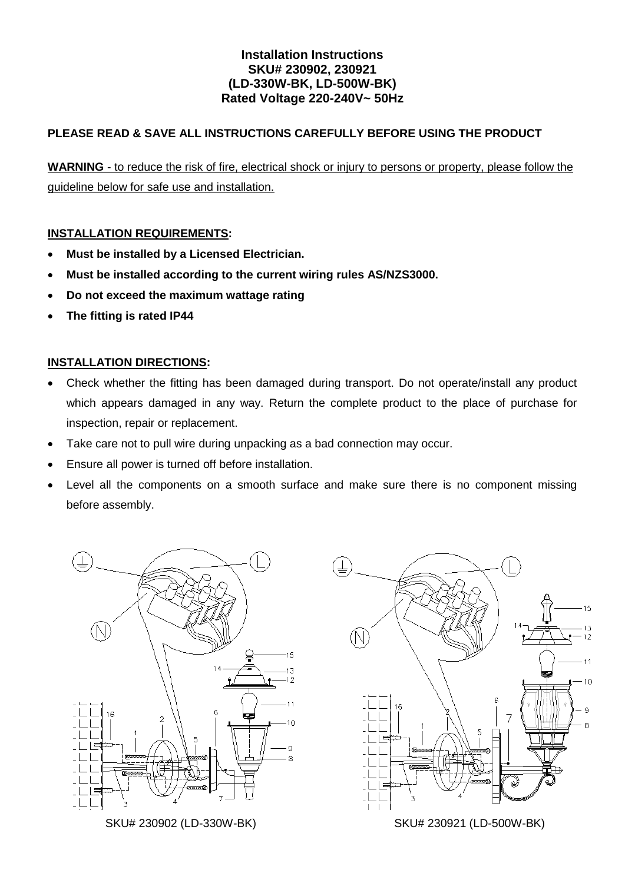## **Installation Instructions SKU# 230902, 230921 (LD-330W-BK, LD-500W-BK) Rated Voltage 220-240V~ 50Hz**

# **PLEASE READ & SAVE ALL INSTRUCTIONS CAREFULLY BEFORE USING THE PRODUCT**

**WARNING** - to reduce the risk of fire, electrical shock or injury to persons or property, please follow the guideline below for safe use and installation.

### **INSTALLATION REQUIREMENTS:**

- **Must be installed by a Licensed Electrician.**
- **Must be installed according to the current wiring rules AS/NZS3000.**
- **Do not exceed the maximum wattage rating**
- **The fitting is rated IP44**

### **INSTALLATION DIRECTIONS:**

- Check whether the fitting has been damaged during transport. Do not operate/install any product which appears damaged in any way. Return the complete product to the place of purchase for inspection, repair or replacement.
- Take care not to pull wire during unpacking as a bad connection may occur.
- Ensure all power is turned off before installation.
- Level all the components on a smooth surface and make sure there is no component missing before assembly.